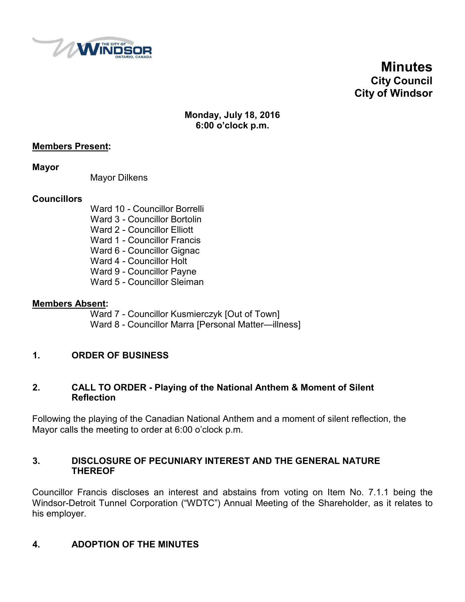

**Minutes City Council City of Windsor**

**Monday, July 18, 2016 6:00 o'clock p.m.**

### **Members Present:**

**Mayor**

Mayor Dilkens

#### **Councillors**

- Ward 10 Councillor Borrelli Ward 3 - Councillor Bortolin
- Ward 2 Councillor Elliott
- Ward 1 Councillor Francis
- Ward 6 Councillor Gignac
- Ward 4 Councillor Holt
- Ward 9 Councillor Payne
- Ward 5 Councillor Sleiman

#### **Members Absent:**

- Ward 7 Councillor Kusmierczyk [Out of Town]
- Ward 8 Councillor Marra [Personal Matter—illness]

## **1. ORDER OF BUSINESS**

#### **2. CALL TO ORDER - Playing of the National Anthem & Moment of Silent Reflection**

Following the playing of the Canadian National Anthem and a moment of silent reflection, the Mayor calls the meeting to order at 6:00 o'clock p.m.

#### **3. DISCLOSURE OF PECUNIARY INTEREST AND THE GENERAL NATURE THEREOF**

Councillor Francis discloses an interest and abstains from voting on Item No. 7.1.1 being the Windsor-Detroit Tunnel Corporation ("WDTC") Annual Meeting of the Shareholder, as it relates to his employer.

## **4. ADOPTION OF THE MINUTES**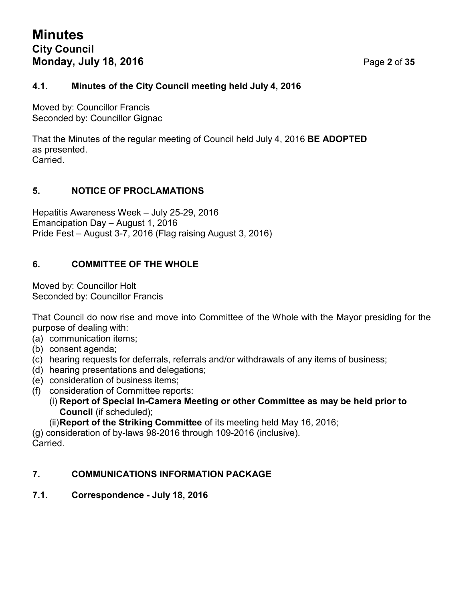# **Minutes City Council Monday, July 18, 2016** Page **2** of **35**

## **4.1. Minutes of the City Council meeting held July 4, 2016**

Moved by: Councillor Francis Seconded by: Councillor Gignac

That the Minutes of the regular meeting of Council held July 4, 2016 **BE ADOPTED** as presented. Carried.

## **5. NOTICE OF PROCLAMATIONS**

Hepatitis Awareness Week – July 25-29, 2016 Emancipation Day – August 1, 2016 Pride Fest – August 3-7, 2016 (Flag raising August 3, 2016)

## **6. COMMITTEE OF THE WHOLE**

Moved by: Councillor Holt Seconded by: Councillor Francis

That Council do now rise and move into Committee of the Whole with the Mayor presiding for the purpose of dealing with:

- (a) communication items;
- (b) consent agenda;
- (c) hearing requests for deferrals, referrals and/or withdrawals of any items of business;
- (d) hearing presentations and delegations;
- (e) consideration of business items;
- (f) consideration of Committee reports:
	- (i) **Report of Special In-Camera Meeting or other Committee as may be held prior to Council** (if scheduled);
	- (ii)**Report of the Striking Committee** of its meeting held May 16, 2016;

(g) consideration of by-laws 98-2016 through 109-2016 (inclusive). Carried.

## **7. COMMUNICATIONS INFORMATION PACKAGE**

**7.1. Correspondence - July 18, 2016**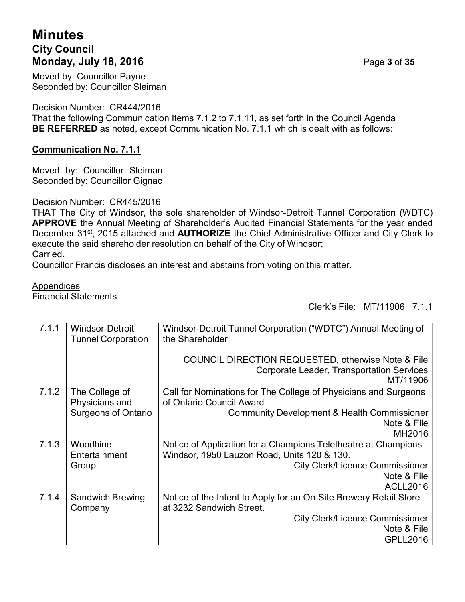# **Minutes City Council Monday, July 18, 2016** Page **3** of **35**

Moved by: Councillor Payne Seconded by: Councillor Sleiman

Decision Number: CR444/2016

That the following Communication Items 7.1.2 to 7.1.11, as set forth in the Council Agenda **BE REFERRED** as noted, except Communication No. 7.1.1 which is dealt with as follows:

## **Communication No. 7.1.1**

Moved by: Councillor Sleiman Seconded by: Councillor Gignac

Decision Number: CR445/2016

THAT The City of Windsor, the sole shareholder of Windsor-Detroit Tunnel Corporation (WDTC) **APPROVE** the Annual Meeting of Shareholder's Audited Financial Statements for the year ended December 31st, 2015 attached and **AUTHORIZE** the Chief Administrative Officer and City Clerk to execute the said shareholder resolution on behalf of the City of Windsor;

Carried.

Councillor Francis discloses an interest and abstains from voting on this matter.

#### Appendices

Financial Statements

Clerk's File: MT/11906 7.1.1

| 7.1.1 | <b>Windsor-Detroit</b><br><b>Tunnel Corporation</b> | Windsor-Detroit Tunnel Corporation ("WDTC") Annual Meeting of<br>the Shareholder                                   |
|-------|-----------------------------------------------------|--------------------------------------------------------------------------------------------------------------------|
|       |                                                     | COUNCIL DIRECTION REQUESTED, otherwise Note & File<br><b>Corporate Leader, Transportation Services</b><br>MT/11906 |
| 7.1.2 | The College of                                      | Call for Nominations for The College of Physicians and Surgeons                                                    |
|       | Physicians and                                      | of Ontario Council Award                                                                                           |
|       | <b>Surgeons of Ontario</b>                          | <b>Community Development &amp; Health Commissioner</b>                                                             |
|       |                                                     | Note & File                                                                                                        |
|       |                                                     | MH2016                                                                                                             |
| 7.1.3 | Woodbine                                            | Notice of Application for a Champions Teletheatre at Champions                                                     |
|       | Entertainment                                       | Windsor, 1950 Lauzon Road, Units 120 & 130.                                                                        |
|       | Group                                               | <b>City Clerk/Licence Commissioner</b>                                                                             |
|       |                                                     | Note & File                                                                                                        |
|       |                                                     | <b>ACLL2016</b>                                                                                                    |
| 7.1.4 | <b>Sandwich Brewing</b>                             | Notice of the Intent to Apply for an On-Site Brewery Retail Store                                                  |
|       | Company                                             | at 3232 Sandwich Street.                                                                                           |
|       |                                                     | <b>City Clerk/Licence Commissioner</b>                                                                             |
|       |                                                     | Note & File                                                                                                        |
|       |                                                     | <b>GPLL2016</b>                                                                                                    |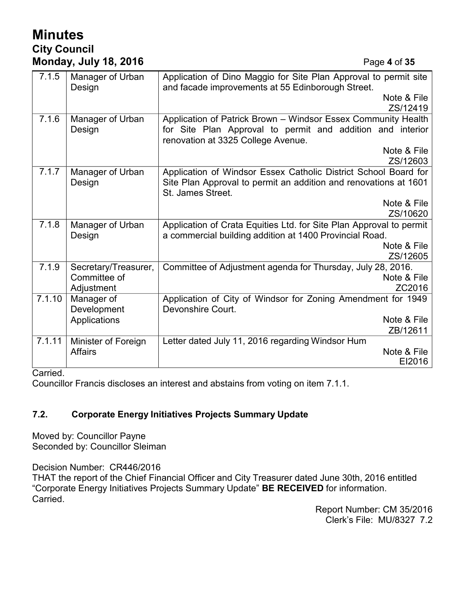# **Minutes City Council Monday, July 18, 2016** Page **4** of **35**

| 7.1.5  | Manager of Urban<br>Design | Application of Dino Maggio for Site Plan Approval to permit site<br>and facade improvements at 55 Edinborough Street.                                    |
|--------|----------------------------|----------------------------------------------------------------------------------------------------------------------------------------------------------|
|        |                            | Note & File                                                                                                                                              |
|        |                            | ZS/12419                                                                                                                                                 |
| 7.1.6  | Manager of Urban           | Application of Patrick Brown - Windsor Essex Community Health                                                                                            |
|        | Design                     | for Site Plan Approval to permit and addition and interior<br>renovation at 3325 College Avenue.                                                         |
|        |                            | Note & File                                                                                                                                              |
|        |                            | ZS/12603                                                                                                                                                 |
| 7.1.7  | Manager of Urban<br>Design | Application of Windsor Essex Catholic District School Board for<br>Site Plan Approval to permit an addition and renovations at 1601<br>St. James Street. |
|        |                            | Note & File                                                                                                                                              |
|        |                            | ZS/10620                                                                                                                                                 |
| 7.1.8  | Manager of Urban           | Application of Crata Equities Ltd. for Site Plan Approval to permit                                                                                      |
|        | Design                     | a commercial building addition at 1400 Provincial Road.                                                                                                  |
|        |                            | Note & File                                                                                                                                              |
|        |                            | ZS/12605                                                                                                                                                 |
| 7.1.9  | Secretary/Treasurer,       | Committee of Adjustment agenda for Thursday, July 28, 2016.                                                                                              |
|        | Committee of               | Note & File                                                                                                                                              |
|        | Adjustment                 | ZC2016                                                                                                                                                   |
| 7.1.10 | Manager of                 | Application of City of Windsor for Zoning Amendment for 1949                                                                                             |
|        | Development                | Devonshire Court.                                                                                                                                        |
|        | Applications               | Note & File                                                                                                                                              |
|        |                            | ZB/12611                                                                                                                                                 |
| 7.1.11 | Minister of Foreign        | Letter dated July 11, 2016 regarding Windsor Hum                                                                                                         |
|        | <b>Affairs</b>             | Note & File                                                                                                                                              |
|        |                            | EI2016                                                                                                                                                   |

Carried.

Councillor Francis discloses an interest and abstains from voting on item 7.1.1.

## **7.2. Corporate Energy Initiatives Projects Summary Update**

Moved by: Councillor Payne Seconded by: Councillor Sleiman

Decision Number: CR446/2016

THAT the report of the Chief Financial Officer and City Treasurer dated June 30th, 2016 entitled "Corporate Energy Initiatives Projects Summary Update" **BE RECEIVED** for information. Carried.

Report Number: CM 35/2016 Clerk's File: MU/8327 7.2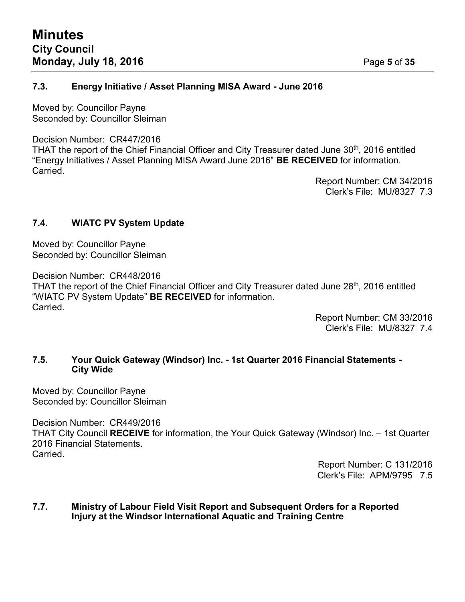## **7.3. Energy Initiative / Asset Planning MISA Award - June 2016**

Moved by: Councillor Payne Seconded by: Councillor Sleiman

#### Decision Number: CR447/2016

THAT the report of the Chief Financial Officer and City Treasurer dated June 30<sup>th</sup>, 2016 entitled "Energy Initiatives / Asset Planning MISA Award June 2016" **BE RECEIVED** for information. **Carried** 

> Report Number: CM 34/2016 Clerk's File: MU/8327 7.3

## **7.4. WIATC PV System Update**

Moved by: Councillor Payne Seconded by: Councillor Sleiman

Decision Number: CR448/2016

THAT the report of the Chief Financial Officer and City Treasurer dated June 28<sup>th</sup>, 2016 entitled "WIATC PV System Update" **BE RECEIVED** for information. Carried.

> Report Number: CM 33/2016 Clerk's File: MU/8327 7.4

#### **7.5. Your Quick Gateway (Windsor) Inc. - 1st Quarter 2016 Financial Statements - City Wide**

Moved by: Councillor Payne Seconded by: Councillor Sleiman

Decision Number: CR449/2016 THAT City Council **RECEIVE** for information, the Your Quick Gateway (Windsor) Inc. – 1st Quarter 2016 Financial Statements. **Carried** 

> Report Number: C 131/2016 Clerk's File: APM/9795 7.5

#### **7.7. Ministry of Labour Field Visit Report and Subsequent Orders for a Reported Injury at the Windsor International Aquatic and Training Centre**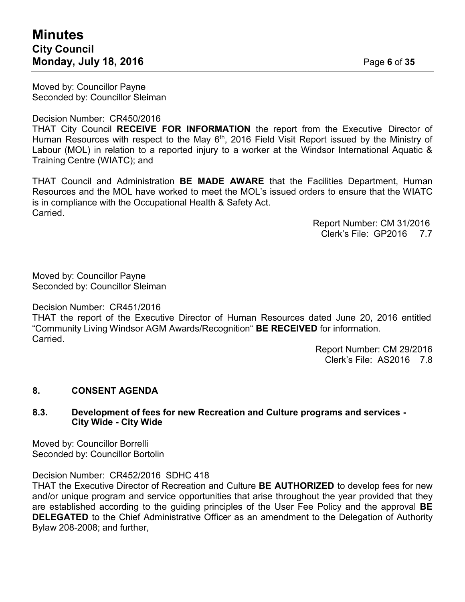Moved by: Councillor Payne Seconded by: Councillor Sleiman

#### Decision Number: CR450/2016

THAT City Council **RECEIVE FOR INFORMATION** the report from the Executive Director of Human Resources with respect to the May 6<sup>th</sup>, 2016 Field Visit Report issued by the Ministry of Labour (MOL) in relation to a reported injury to a worker at the Windsor International Aquatic & Training Centre (WIATC); and

THAT Council and Administration **BE MADE AWARE** that the Facilities Department, Human Resources and the MOL have worked to meet the MOL's issued orders to ensure that the WIATC is in compliance with the Occupational Health & Safety Act. Carried.

> Report Number: CM 31/2016 Clerk's File: GP2016 7.7

Moved by: Councillor Payne Seconded by: Councillor Sleiman

Decision Number: CR451/2016

THAT the report of the Executive Director of Human Resources dated June 20, 2016 entitled "Community Living Windsor AGM Awards/Recognition" **BE RECEIVED** for information. Carried.

> Report Number: CM 29/2016 Clerk's File: AS2016 7.8

#### **8. CONSENT AGENDA**

#### **8.3. Development of fees for new Recreation and Culture programs and services - City Wide - City Wide**

Moved by: Councillor Borrelli Seconded by: Councillor Bortolin

Decision Number: CR452/2016 SDHC 418

THAT the Executive Director of Recreation and Culture **BE AUTHORIZED** to develop fees for new and/or unique program and service opportunities that arise throughout the year provided that they are established according to the guiding principles of the User Fee Policy and the approval **BE DELEGATED** to the Chief Administrative Officer as an amendment to the Delegation of Authority Bylaw 208-2008; and further,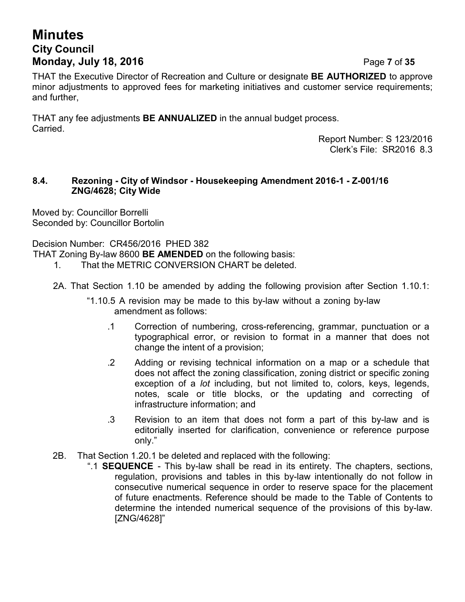# **Minutes City Council Monday, July 18, 2016** Page **7** of **35**

THAT the Executive Director of Recreation and Culture or designate **BE AUTHORIZED** to approve minor adjustments to approved fees for marketing initiatives and customer service requirements; and further,

THAT any fee adjustments **BE ANNUALIZED** in the annual budget process. Carried.

> Report Number: S 123/2016 Clerk's File: SR2016 8.3

#### **8.4. Rezoning - City of Windsor - Housekeeping Amendment 2016-1 - Z-001/16 ZNG/4628; City Wide**

Moved by: Councillor Borrelli Seconded by: Councillor Bortolin

Decision Number: CR456/2016 PHED 382

THAT Zoning By-law 8600 **BE AMENDED** on the following basis:

- 1. That the METRIC CONVERSION CHART be deleted.
- 2A. That Section 1.10 be amended by adding the following provision after Section 1.10.1:
	- "1.10.5 A revision may be made to this by-law without a zoning by-law amendment as follows:
		- .1 Correction of numbering, cross-referencing, grammar, punctuation or a typographical error, or revision to format in a manner that does not change the intent of a provision;
		- .2 Adding or revising technical information on a map or a schedule that does not affect the zoning classification, zoning district or specific zoning exception of a *lot* including, but not limited to, colors, keys, legends, notes, scale or title blocks, or the updating and correcting of infrastructure information; and
		- .3 Revision to an item that does not form a part of this by-law and is editorially inserted for clarification, convenience or reference purpose only."
- 2B. That Section 1.20.1 be deleted and replaced with the following:
	- ".1 **SEQUENCE**  This by-law shall be read in its entirety. The chapters, sections, regulation, provisions and tables in this by-law intentionally do not follow in consecutive numerical sequence in order to reserve space for the placement of future enactments. Reference should be made to the Table of Contents to determine the intended numerical sequence of the provisions of this by-law. [ZNG/4628]"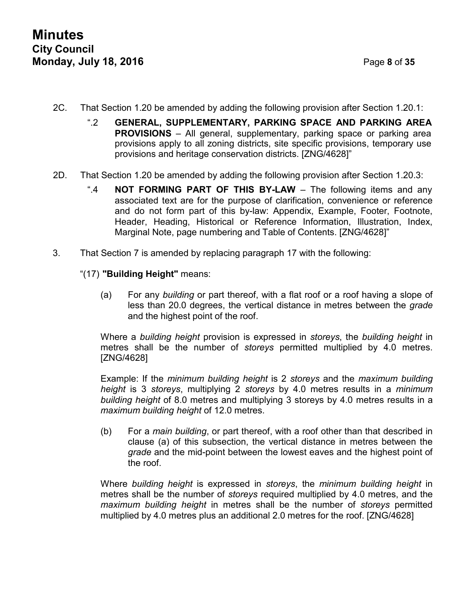- 2C. That Section 1.20 be amended by adding the following provision after Section 1.20.1:
	- ".2 **GENERAL, SUPPLEMENTARY, PARKING SPACE AND PARKING AREA PROVISIONS** – All general, supplementary, parking space or parking area provisions apply to all zoning districts, site specific provisions, temporary use provisions and heritage conservation districts. [ZNG/4628]"
- 2D. That Section 1.20 be amended by adding the following provision after Section 1.20.3:
	- ".4 **NOT FORMING PART OF THIS BY-LAW** The following items and any associated text are for the purpose of clarification, convenience or reference and do not form part of this by-law: Appendix, Example, Footer, Footnote, Header, Heading, Historical or Reference Information, Illustration, Index, Marginal Note, page numbering and Table of Contents. [ZNG/4628]"
- 3. That Section 7 is amended by replacing paragraph 17 with the following:
	- "(17) **"Building Height"** means:
		- (a) For any *building* or part thereof, with a flat roof or a roof having a slope of less than 20.0 degrees, the vertical distance in metres between the *grade* and the highest point of the roof.

Where a *building height* provision is expressed in *storeys*, the *building height* in metres shall be the number of *storeys* permitted multiplied by 4.0 metres. [ZNG/4628]

Example: If the *minimum building height* is 2 *storeys* and the *maximum building height* is 3 *storeys*, multiplying 2 *storeys* by 4.0 metres results in a *minimum building height* of 8.0 metres and multiplying 3 storeys by 4.0 metres results in a *maximum building height* of 12.0 metres.

(b) For a *main building*, or part thereof, with a roof other than that described in clause (a) of this subsection, the vertical distance in metres between the *grade* and the mid-point between the lowest eaves and the highest point of the roof.

Where *building height* is expressed in *storeys*, the *minimum building height* in metres shall be the number of *storeys* required multiplied by 4.0 metres, and the *maximum building height* in metres shall be the number of *storeys* permitted multiplied by 4.0 metres plus an additional 2.0 metres for the roof. [ZNG/4628]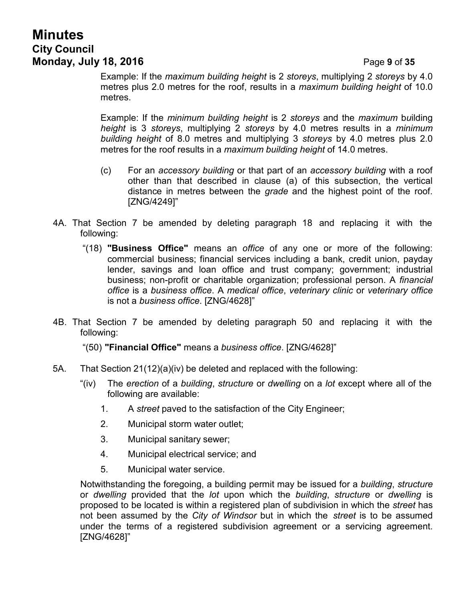# **Minutes City Council Monday, July 18, 2016** Page **9** of **35**

Example: If the *maximum building height* is 2 *storeys*, multiplying 2 *storeys* by 4.0 metres plus 2.0 metres for the roof, results in a *maximum building height* of 10.0 metres.

Example: If the *minimum building height* is 2 *storeys* and the *maximum* b*u*ilding *height* is 3 *storeys*, multiplying 2 *storeys* by 4.0 metres results in a *minimum building height* of 8.0 metres and multiplying 3 *storeys* by 4.0 metres plus 2.0 metres for the roof results in a *maximum building height* of 14.0 metres.

- (c) For an *accessory building* or that part of an *accessory building* with a roof other than that described in clause (a) of this subsection, the vertical distance in metres between the *grade* and the highest point of the roof. [ZNG/4249]"
- 4A. That Section 7 be amended by deleting paragraph 18 and replacing it with the following:
	- "(18) **"Business Office"** means an *office* of any one or more of the following: commercial business; financial services including a bank, credit union, payday lender, savings and loan office and trust company; government; industrial business; non-profit or charitable organization; professional person. A *financial office* is a *business office*. A *medical office*, *veterinary clinic* or *veterinary office* is not a *business office*. [ZNG/4628]"
- 4B. That Section 7 be amended by deleting paragraph 50 and replacing it with the following:
	- "(50) **"Financial Office"** means a *business office*. [ZNG/4628]"
- 5A. That Section 21(12)(a)(iv) be deleted and replaced with the following:
	- "(iv) The *erection* of a *building*, *structure* or *dwelling* on a *lot* except where all of the following are available:
		- 1. A *street* paved to the satisfaction of the City Engineer;
		- 2. Municipal storm water outlet;
		- 3. Municipal sanitary sewer;
		- 4. Municipal electrical service; and
		- 5. Municipal water service.

Notwithstanding the foregoing, a building permit may be issued for a *building*, *structure* or *dwelling* provided that the *lot* upon which the *building*, *structure* or *dwelling* is proposed to be located is within a registered plan of subdivision in which the *street* has not been assumed by the *City of Windsor* but in which the *street* is to be assumed under the terms of a registered subdivision agreement or a servicing agreement. [ZNG/4628]"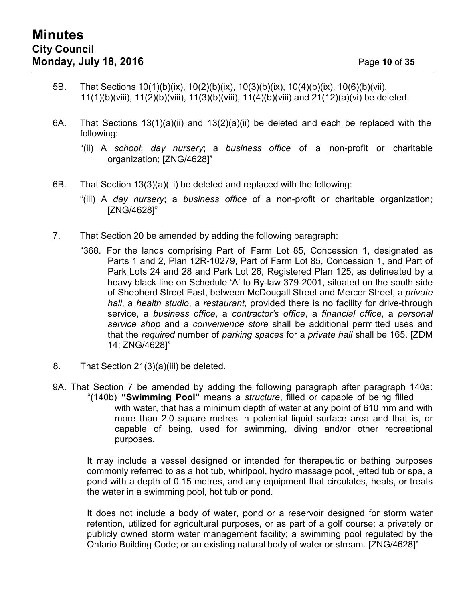- 5B. That Sections 10(1)(b)(ix), 10(2)(b)(ix), 10(3)(b)(ix), 10(4)(b)(ix), 10(6)(b)(vii), 11(1)(b)(viii), 11(2)(b)(viii), 11(3)(b)(viii), 11(4)(b)(viii) and 21(12)(a)(vi) be deleted.
- 6A. That Sections 13(1)(a)(ii) and 13(2)(a)(ii) be deleted and each be replaced with the following:
	- "(ii) A *school*; *day nursery*; a *business office* of a non-profit or charitable organization; [ZNG/4628]"
- 6B. That Section 13(3)(a)(iii) be deleted and replaced with the following:
	- "(iii) A *day nursery*; a *business office* of a non-profit or charitable organization; [ZNG/4628]"
- 7. That Section 20 be amended by adding the following paragraph:
	- "368. For the lands comprising Part of Farm Lot 85, Concession 1, designated as Parts 1 and 2, Plan 12R-10279, Part of Farm Lot 85, Concession 1, and Part of Park Lots 24 and 28 and Park Lot 26, Registered Plan 125, as delineated by a heavy black line on Schedule 'A' to By-law 379-2001, situated on the south side of Shepherd Street East, between McDougall Street and Mercer Street, a *private hall*, a *health studio*, a *restaurant*, provided there is no facility for drive-through service, a *business office*, a *contractor's office*, a *financial office*, a *personal service shop* and a *convenience store* shall be additional permitted uses and that the *required* number of *parking spaces* for a *private hall* shall be 165. [ZDM 14; ZNG/4628]"
- 8. That Section 21(3)(a)(iii) be deleted.
- 9A. That Section 7 be amended by adding the following paragraph after paragraph 140a: "(140b) **"Swimming Pool"** means a *structure*, filled or capable of being filled with water, that has a minimum depth of water at any point of 610 mm and with more than 2.0 square metres in potential liquid surface area and that is, or capable of being, used for swimming, diving and/or other recreational purposes.

It may include a vessel designed or intended for therapeutic or bathing purposes commonly referred to as a hot tub, whirlpool, hydro massage pool, jetted tub or spa, a pond with a depth of 0.15 metres, and any equipment that circulates, heats, or treats the water in a swimming pool, hot tub or pond.

It does not include a body of water, pond or a reservoir designed for storm water retention, utilized for agricultural purposes, or as part of a golf course; a privately or publicly owned storm water management facility; a swimming pool regulated by the Ontario Building Code; or an existing natural body of water or stream. [ZNG/4628]"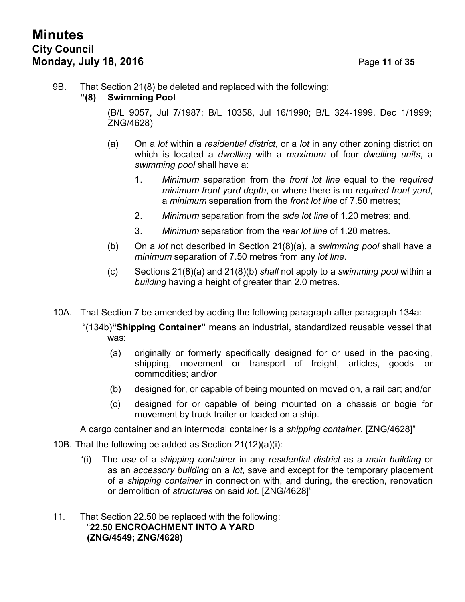#### 9B. That Section 21(8) be deleted and replaced with the following:

#### **"(8) Swimming Pool**

(B/L 9057, Jul 7/1987; B/L 10358, Jul 16/1990; B/L 324-1999, Dec 1/1999; ZNG/4628)

- (a) On a *lot* within a *residential district*, or a *lot* in any other zoning district on which is located a *dwelling* with a *maximum* of four *dwelling units*, a *swimming pool* shall have a:
	- 1. *Minimum* separation from the *front lot line* equal to the *required minimum front yard depth*, or where there is no *required front yard*, a *minimum* separation from the *front lot line* of 7.50 metres;
	- 2. *Minimum* separation from the *side lot line* of 1.20 metres; and,
	- 3. *Minimum* separation from the *rear lot line* of 1.20 metres.
- (b) On a *lot* not described in Section 21(8)(a), a *swimming pool* shall have a *minimum* separation of 7.50 metres from any *lot line*.
- (c) Sections 21(8)(a) and 21(8)(b) *shall* not apply to a *swimming pool* within a *building* having a height of greater than 2.0 metres.
- 10A. That Section 7 be amended by adding the following paragraph after paragraph 134a:
	- "(134b)**"Shipping Container"** means an industrial, standardized reusable vessel that was:
		- (a) originally or formerly specifically designed for or used in the packing, shipping, movement or transport of freight, articles, goods or commodities; and/or
		- (b) designed for, or capable of being mounted on moved on, a rail car; and/or
		- (c) designed for or capable of being mounted on a chassis or bogie for movement by truck trailer or loaded on a ship.

A cargo container and an intermodal container is a *shipping container*. [ZNG/4628]"

- 10B. That the following be added as Section 21(12)(a)(i):
	- "(i) The *use* of a *shipping container* in any *residential district* as a *main building* or as an *accessory building* on a *lot*, save and except for the temporary placement of a *shipping container* in connection with, and during, the erection, renovation or demolition of *structures* on said *lot*. [ZNG/4628]"
- 11. That Section 22.50 be replaced with the following: "**22.50 ENCROACHMENT INTO A YARD (ZNG/4549; ZNG/4628)**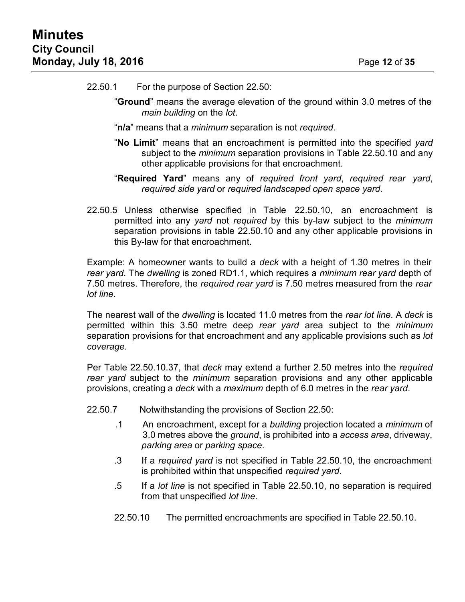- 22.50.1 For the purpose of Section 22.50:
	- "**Ground**" means the average elevation of the ground within 3.0 metres of the *main building* on the *lot*.
	- "**n/a**" means that a *minimum* separation is not *required*.
	- "**No Limit**" means that an encroachment is permitted into the specified *yard* subject to the *minimum* separation provisions in Table 22.50.10 and any other applicable provisions for that encroachment.
	- "**Required Yard**" means any of *required front yard*, *required rear yard*, *required side yard* or *required landscaped open space yard*.
- 22.50.5 Unless otherwise specified in Table 22.50.10, an encroachment is permitted into any *yard* not *required* by this by-law subject to the *minimum* separation provisions in table 22.50.10 and any other applicable provisions in this By-law for that encroachment.

Example: A homeowner wants to build a *deck* with a height of 1.30 metres in their *rear yard*. The *dwelling* is zoned RD1.1, which requires a *minimum rear yard* depth of 7.50 metres. Therefore, the *required rear yard* is 7.50 metres measured from the *rear lot line*.

The nearest wall of the *dwelling* is located 11.0 metres from the *rear lot line*. A *deck* is permitted within this 3.50 metre deep *rear yard* area subject to the *minimum* separation provisions for that encroachment and any applicable provisions such as *lot coverage*.

Per Table 22.50.10.37, that *deck* may extend a further 2.50 metres into the *required rear yard* subject to the *minimum* separation provisions and any other applicable provisions, creating a *deck* with a *maximum* depth of 6.0 metres in the *rear yard*.

- 22.50.7 Notwithstanding the provisions of Section 22.50:
	- .1 An encroachment, except for a *building* projection located a *minimum* of 3.0 metres above the *ground*, is prohibited into a *access area*, driveway, *parking area* or *parking space*.
	- .3 If a *required yard* is not specified in Table 22.50.10, the encroachment is prohibited within that unspecified *required yard*.
	- .5 If a *lot line* is not specified in Table 22.50.10, no separation is required from that unspecified *lot line*.
	- 22.50.10 The permitted encroachments are specified in Table 22.50.10.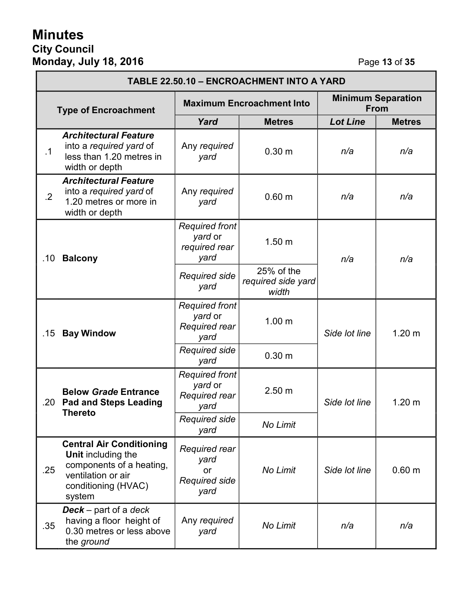# **Minutes City Council Monday, July 18, 2016** Page **13** of **35**

| TABLE 22.50.10 - ENCROACHMENT INTO A YARD |                                                                                                                                                 |                                                             |                                           |                                          |                   |
|-------------------------------------------|-------------------------------------------------------------------------------------------------------------------------------------------------|-------------------------------------------------------------|-------------------------------------------|------------------------------------------|-------------------|
| <b>Type of Encroachment</b>               |                                                                                                                                                 | <b>Maximum Encroachment Into</b>                            |                                           | <b>Minimum Separation</b><br><b>From</b> |                   |
|                                           |                                                                                                                                                 | Yard                                                        | <b>Metres</b>                             | <b>Lot Line</b>                          | <b>Metres</b>     |
| .1                                        | <b>Architectural Feature</b><br>into a required yard of<br>less than 1.20 metres in<br>width or depth                                           | Any required<br>yard                                        | 0.30 <sub>m</sub>                         | n/a                                      | n/a               |
| $.2\overline{ }$                          | <b>Architectural Feature</b><br>into a required yard of<br>1.20 metres or more in<br>width or depth                                             | Any required<br>yard                                        | 0.60 <sub>m</sub>                         | n/a                                      | n/a               |
| .10                                       | <b>Balcony</b>                                                                                                                                  | <b>Required front</b><br>yard or<br>required rear<br>yard   | 1.50 <sub>m</sub>                         | n/a                                      | n/a               |
|                                           |                                                                                                                                                 | <b>Required side</b><br>yard                                | 25% of the<br>required side yard<br>width |                                          |                   |
| .15                                       | <b>Bay Window</b>                                                                                                                               | <b>Required front</b><br>yard or<br>Required rear<br>yard   | 1.00 <sub>m</sub>                         | Side lot line                            | 1.20 <sub>m</sub> |
|                                           |                                                                                                                                                 | <b>Required side</b><br>yard                                | 0.30 <sub>m</sub>                         |                                          |                   |
| .20                                       | <b>Below Grade Entrance</b><br><b>Pad and Steps Leading</b><br><b>Thereto</b>                                                                   | <b>Required front</b><br>yard or<br>Required rear<br>yard   | 2.50 <sub>m</sub>                         | Side lot line                            | 1.20 <sub>m</sub> |
|                                           |                                                                                                                                                 | Required side<br>yard                                       | No Limit                                  |                                          |                   |
| .25                                       | <b>Central Air Conditioning</b><br><b>Unit including the</b><br>components of a heating,<br>ventilation or air<br>conditioning (HVAC)<br>system | Required rear<br>yard<br>or<br><b>Required side</b><br>yard | No Limit                                  | Side lot line                            | 0.60 <sub>m</sub> |
| .35                                       | <b>Deck</b> – part of a deck<br>having a floor height of<br>0.30 metres or less above<br>the ground                                             | Any required<br>yard                                        | No Limit                                  | n/a                                      | n/a               |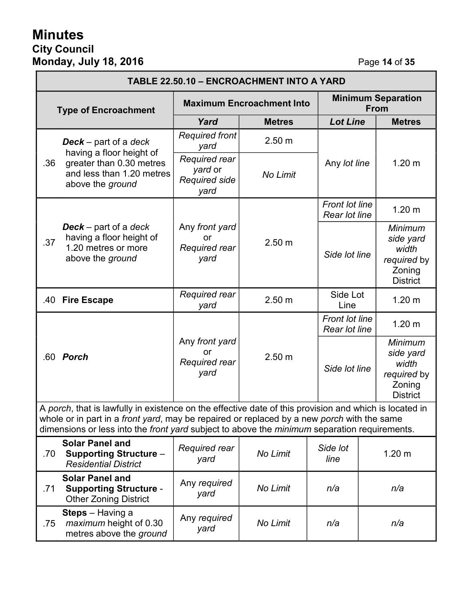# **Minutes City Council Monday, July 18, 2016** Page **14** of **35**

| TABLE 22.50.10 - ENCROACHMENT INTO A YARD                                                                                                                                                                                                                                                            |                                                                                                                                       |                                                          |                   |                                        |                                          |                                                                           |
|------------------------------------------------------------------------------------------------------------------------------------------------------------------------------------------------------------------------------------------------------------------------------------------------------|---------------------------------------------------------------------------------------------------------------------------------------|----------------------------------------------------------|-------------------|----------------------------------------|------------------------------------------|---------------------------------------------------------------------------|
| <b>Type of Encroachment</b>                                                                                                                                                                                                                                                                          |                                                                                                                                       | <b>Maximum Encroachment Into</b>                         |                   |                                        | <b>Minimum Separation</b><br><b>From</b> |                                                                           |
|                                                                                                                                                                                                                                                                                                      |                                                                                                                                       | Yard                                                     | <b>Metres</b>     | <b>Lot Line</b>                        |                                          | <b>Metres</b>                                                             |
|                                                                                                                                                                                                                                                                                                      | <b>Deck</b> – part of a deck<br>having a floor height of<br>greater than 0.30 metres<br>and less than 1.20 metres<br>above the ground | <b>Required front</b><br>yard                            | 2.50 <sub>m</sub> |                                        |                                          |                                                                           |
| .36                                                                                                                                                                                                                                                                                                  |                                                                                                                                       | Required rear<br>yard or<br><b>Required side</b><br>yard | No Limit          | Any lot line                           |                                          | 1.20 <sub>m</sub>                                                         |
|                                                                                                                                                                                                                                                                                                      |                                                                                                                                       |                                                          |                   | <b>Front lot line</b><br>Rear lot line |                                          | 1.20 <sub>m</sub>                                                         |
| .37                                                                                                                                                                                                                                                                                                  | <b>Deck</b> – part of a deck<br>having a floor height of<br>1.20 metres or more<br>above the ground                                   | Any front yard<br>or<br>Required rear<br>yard            | 2.50 m            | Side lot line                          |                                          | Minimum<br>side yard<br>width<br>required by<br>Zoning<br><b>District</b> |
| .40                                                                                                                                                                                                                                                                                                  | <b>Fire Escape</b>                                                                                                                    | Required rear<br>yard                                    | 2.50 <sub>m</sub> | Side Lot<br>Line                       |                                          | 1.20 <sub>m</sub>                                                         |
|                                                                                                                                                                                                                                                                                                      |                                                                                                                                       |                                                          |                   | <b>Front lot line</b><br>Rear lot line |                                          | 1.20 <sub>m</sub>                                                         |
|                                                                                                                                                                                                                                                                                                      | .60 <b>Porch</b>                                                                                                                      | Any front yard<br>or<br>Required rear<br>yard            | 2.50 m            | Side lot line                          |                                          | Minimum<br>side yard<br>width<br>required by<br>Zoning<br><b>District</b> |
| A porch, that is lawfully in existence on the effective date of this provision and which is located in<br>whole or in part in a front yard, may be repaired or replaced by a new porch with the same<br>dimensions or less into the front yard subject to above the minimum separation requirements. |                                                                                                                                       |                                                          |                   |                                        |                                          |                                                                           |
| .70                                                                                                                                                                                                                                                                                                  | <b>Solar Panel and</b><br><b>Supporting Structure -</b><br><b>Residential District</b>                                                | Required rear<br>yard                                    | No Limit          | Side lot<br>line                       |                                          | 1.20 <sub>m</sub>                                                         |
| .71                                                                                                                                                                                                                                                                                                  | <b>Solar Panel and</b><br><b>Supporting Structure -</b><br><b>Other Zoning District</b>                                               | Any required<br>yard                                     | No Limit          | n/a                                    |                                          | n/a                                                                       |
| .75                                                                                                                                                                                                                                                                                                  | <b>Steps</b> – Having a<br>maximum height of 0.30<br>metres above the ground                                                          | Any required<br>yard                                     | No Limit          | n/a                                    |                                          | n/a                                                                       |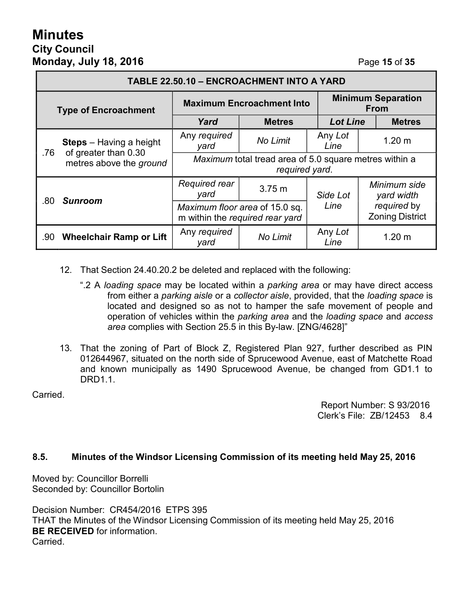# **Minutes City Council Monday, July 18, 2016 Page 15** of **35**

| TABLE 22.50.10 - ENCROACHMENT INTO A YARD |                                                                                   |                                                                          |                   |                                          |                                       |  |
|-------------------------------------------|-----------------------------------------------------------------------------------|--------------------------------------------------------------------------|-------------------|------------------------------------------|---------------------------------------|--|
| <b>Type of Encroachment</b>               |                                                                                   | <b>Maximum Encroachment Into</b>                                         |                   | <b>Minimum Separation</b><br><b>From</b> |                                       |  |
|                                           |                                                                                   | Yard                                                                     | <b>Metres</b>     | <b>Lot Line</b>                          | <b>Metres</b>                         |  |
| .76                                       | <b>Steps</b> – Having a height<br>of greater than 0.30<br>metres above the ground | Any required<br>yard                                                     | No Limit          | Any Lot<br>Line                          | 1.20 <sub>m</sub>                     |  |
|                                           |                                                                                   | Maximum total tread area of 5.0 square metres within a<br>required yard. |                   |                                          |                                       |  |
| .80                                       | <b>Sunroom</b>                                                                    | Required rear<br>yard                                                    | 3.75 <sub>m</sub> | Side Lot                                 | Minimum side<br>yard width            |  |
|                                           |                                                                                   | Maximum floor area of 15.0 sq.<br>m within the required rear yard        |                   | Line                                     | required by<br><b>Zoning District</b> |  |
| .90                                       | <b>Wheelchair Ramp or Lift</b>                                                    | Any required<br>yard                                                     | No Limit          | Any Lot<br>Line                          | 1.20 <sub>m</sub>                     |  |

- 12. That Section 24.40.20.2 be deleted and replaced with the following:
	- ".2 A *loading space* may be located within a *parking area* or may have direct access from either a *parking aisle* or a *collector aisle*, provided, that the *loading space* is located and designed so as not to hamper the safe movement of people and operation of vehicles within the *parking area* and the *loading space* and *access area* complies with Section 25.5 in this By-law. [ZNG/4628]"
- 13. That the zoning of Part of Block Z, Registered Plan 927, further described as PIN 012644967, situated on the north side of Sprucewood Avenue, east of Matchette Road and known municipally as 1490 Sprucewood Avenue, be changed from GD1.1 to DRD<sub>1</sub>1

Carried.

Report Number: S 93/2016 Clerk's File: ZB/12453 8.4

#### **8.5. Minutes of the Windsor Licensing Commission of its meeting held May 25, 2016**

Moved by: Councillor Borrelli Seconded by: Councillor Bortolin

Decision Number: CR454/2016 ETPS 395 THAT the Minutes of the Windsor Licensing Commission of its meeting held May 25, 2016 **BE RECEIVED** for information. Carried.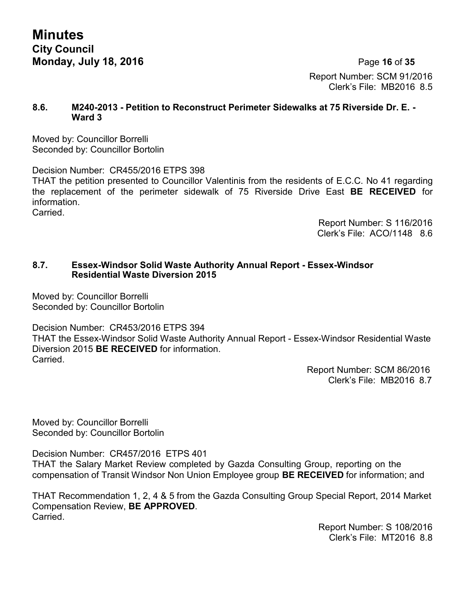**Minutes City Council Monday, July 18, 2016 Page 16 of 35** 

Report Number: SCM 91/2016 Clerk's File: MB2016 8.5

#### **8.6. M240-2013 - Petition to Reconstruct Perimeter Sidewalks at 75 Riverside Dr. E. - Ward 3**

Moved by: Councillor Borrelli Seconded by: Councillor Bortolin

Decision Number: CR455/2016 ETPS 398 THAT the petition presented to Councillor Valentinis from the residents of E.C.C. No 41 regarding the replacement of the perimeter sidewalk of 75 Riverside Drive East **BE RECEIVED** for information. **Carried** 

> Report Number: S 116/2016 Clerk's File: ACO/1148 8.6

## **8.7. Essex-Windsor Solid Waste Authority Annual Report - Essex-Windsor Residential Waste Diversion 2015**

Moved by: Councillor Borrelli Seconded by: Councillor Bortolin

Decision Number: CR453/2016 ETPS 394

THAT the Essex-Windsor Solid Waste Authority Annual Report - Essex-Windsor Residential Waste Diversion 2015 **BE RECEIVED** for information. Carried.

> Report Number: SCM 86/2016 Clerk's File: MB2016 8.7

Moved by: Councillor Borrelli Seconded by: Councillor Bortolin

Decision Number: CR457/2016 ETPS 401

THAT the Salary Market Review completed by Gazda Consulting Group, reporting on the compensation of Transit Windsor Non Union Employee group **BE RECEIVED** for information; and

THAT Recommendation 1, 2, 4 & 5 from the Gazda Consulting Group Special Report, 2014 Market Compensation Review, **BE APPROVED**. Carried.

> Report Number: S 108/2016 Clerk's File: MT2016 8.8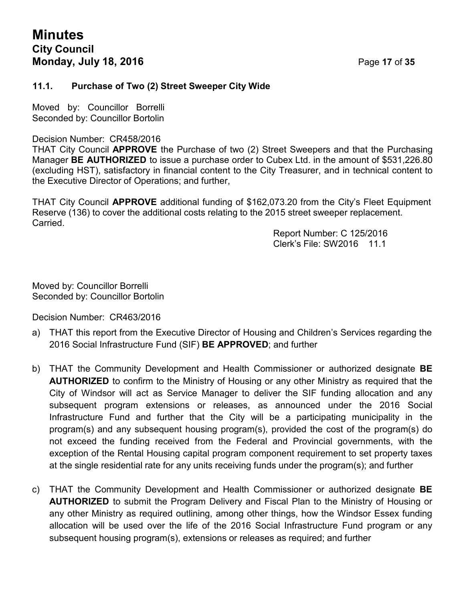# **Minutes City Council Monday, July 18, 2016 Page 17 of 35**

#### **11.1. Purchase of Two (2) Street Sweeper City Wide**

Moved by: Councillor Borrelli Seconded by: Councillor Bortolin

#### Decision Number: CR458/2016

THAT City Council **APPROVE** the Purchase of two (2) Street Sweepers and that the Purchasing Manager **BE AUTHORIZED** to issue a purchase order to Cubex Ltd. in the amount of \$531,226.80 (excluding HST), satisfactory in financial content to the City Treasurer, and in technical content to the Executive Director of Operations; and further,

THAT City Council **APPROVE** additional funding of \$162,073.20 from the City's Fleet Equipment Reserve (136) to cover the additional costs relating to the 2015 street sweeper replacement. Carried.

Report Number: C 125/2016 Clerk's File: SW2016 11.1

Moved by: Councillor Borrelli Seconded by: Councillor Bortolin

Decision Number: CR463/2016

- a) THAT this report from the Executive Director of Housing and Children's Services regarding the 2016 Social Infrastructure Fund (SIF) **BE APPROVED**; and further
- b) THAT the Community Development and Health Commissioner or authorized designate **BE AUTHORIZED** to confirm to the Ministry of Housing or any other Ministry as required that the City of Windsor will act as Service Manager to deliver the SIF funding allocation and any subsequent program extensions or releases, as announced under the 2016 Social Infrastructure Fund and further that the City will be a participating municipality in the program(s) and any subsequent housing program(s), provided the cost of the program(s) do not exceed the funding received from the Federal and Provincial governments, with the exception of the Rental Housing capital program component requirement to set property taxes at the single residential rate for any units receiving funds under the program(s); and further
- c) THAT the Community Development and Health Commissioner or authorized designate **BE AUTHORIZED** to submit the Program Delivery and Fiscal Plan to the Ministry of Housing or any other Ministry as required outlining, among other things, how the Windsor Essex funding allocation will be used over the life of the 2016 Social Infrastructure Fund program or any subsequent housing program(s), extensions or releases as required; and further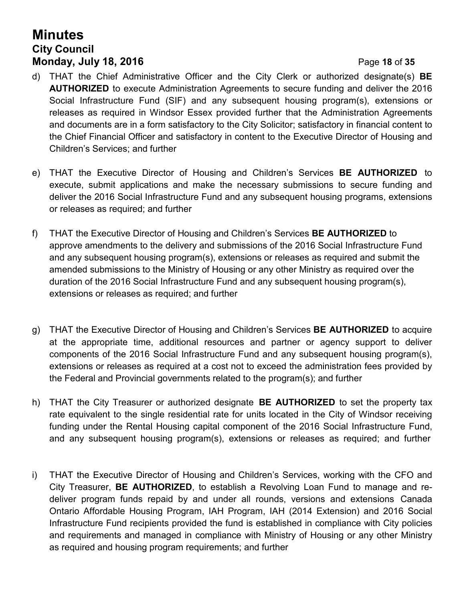# **Minutes City Council Monday, July 18, 2016 Page 18 of 35**

- d) THAT the Chief Administrative Officer and the City Clerk or authorized designate(s) **BE AUTHORIZED** to execute Administration Agreements to secure funding and deliver the 2016 Social Infrastructure Fund (SIF) and any subsequent housing program(s), extensions or releases as required in Windsor Essex provided further that the Administration Agreements and documents are in a form satisfactory to the City Solicitor; satisfactory in financial content to the Chief Financial Officer and satisfactory in content to the Executive Director of Housing and Children's Services; and further
- e) THAT the Executive Director of Housing and Children's Services **BE AUTHORIZED** to execute, submit applications and make the necessary submissions to secure funding and deliver the 2016 Social Infrastructure Fund and any subsequent housing programs, extensions or releases as required; and further
- f) THAT the Executive Director of Housing and Children's Services **BE AUTHORIZED** to approve amendments to the delivery and submissions of the 2016 Social Infrastructure Fund and any subsequent housing program(s), extensions or releases as required and submit the amended submissions to the Ministry of Housing or any other Ministry as required over the duration of the 2016 Social Infrastructure Fund and any subsequent housing program(s), extensions or releases as required; and further
- g) THAT the Executive Director of Housing and Children's Services **BE AUTHORIZED** to acquire at the appropriate time, additional resources and partner or agency support to deliver components of the 2016 Social Infrastructure Fund and any subsequent housing program(s), extensions or releases as required at a cost not to exceed the administration fees provided by the Federal and Provincial governments related to the program(s); and further
- h) THAT the City Treasurer or authorized designate **BE AUTHORIZED** to set the property tax rate equivalent to the single residential rate for units located in the City of Windsor receiving funding under the Rental Housing capital component of the 2016 Social Infrastructure Fund, and any subsequent housing program(s), extensions or releases as required; and further
- i) THAT the Executive Director of Housing and Children's Services, working with the CFO and City Treasurer, **BE AUTHORIZED**, to establish a Revolving Loan Fund to manage and redeliver program funds repaid by and under all rounds, versions and extensions Canada Ontario Affordable Housing Program, IAH Program, IAH (2014 Extension) and 2016 Social Infrastructure Fund recipients provided the fund is established in compliance with City policies and requirements and managed in compliance with Ministry of Housing or any other Ministry as required and housing program requirements; and further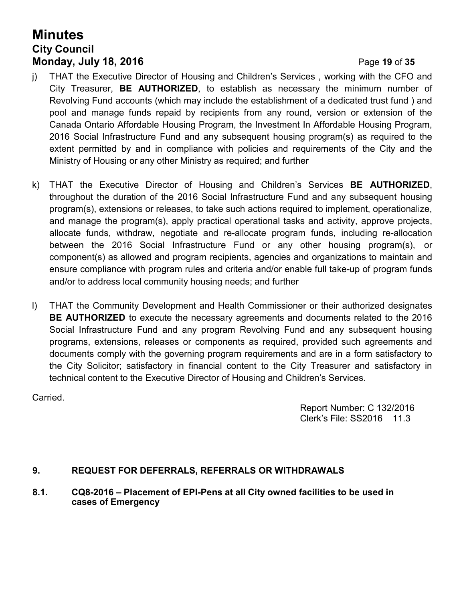# **Minutes City Council Monday, July 18, 2016 Page 19 of 35**

- 
- j) THAT the Executive Director of Housing and Children's Services , working with the CFO and City Treasurer, **BE AUTHORIZED**, to establish as necessary the minimum number of Revolving Fund accounts (which may include the establishment of a dedicated trust fund ) and pool and manage funds repaid by recipients from any round, version or extension of the Canada Ontario Affordable Housing Program, the Investment In Affordable Housing Program, 2016 Social Infrastructure Fund and any subsequent housing program(s) as required to the extent permitted by and in compliance with policies and requirements of the City and the Ministry of Housing or any other Ministry as required; and further
- k) THAT the Executive Director of Housing and Children's Services **BE AUTHORIZED**, throughout the duration of the 2016 Social Infrastructure Fund and any subsequent housing program(s), extensions or releases, to take such actions required to implement, operationalize, and manage the program(s), apply practical operational tasks and activity, approve projects, allocate funds, withdraw, negotiate and re-allocate program funds, including re-allocation between the 2016 Social Infrastructure Fund or any other housing program(s), or component(s) as allowed and program recipients, agencies and organizations to maintain and ensure compliance with program rules and criteria and/or enable full take-up of program funds and/or to address local community housing needs; and further
- l) THAT the Community Development and Health Commissioner or their authorized designates **BE AUTHORIZED** to execute the necessary agreements and documents related to the 2016 Social Infrastructure Fund and any program Revolving Fund and any subsequent housing programs, extensions, releases or components as required, provided such agreements and documents comply with the governing program requirements and are in a form satisfactory to the City Solicitor; satisfactory in financial content to the City Treasurer and satisfactory in technical content to the Executive Director of Housing and Children's Services.

Carried.

Report Number: C 132/2016 Clerk's File: SS2016 11.3

## **9. REQUEST FOR DEFERRALS, REFERRALS OR WITHDRAWALS**

**8.1. CQ8-2016 – Placement of EPI-Pens at all City owned facilities to be used in cases of Emergency**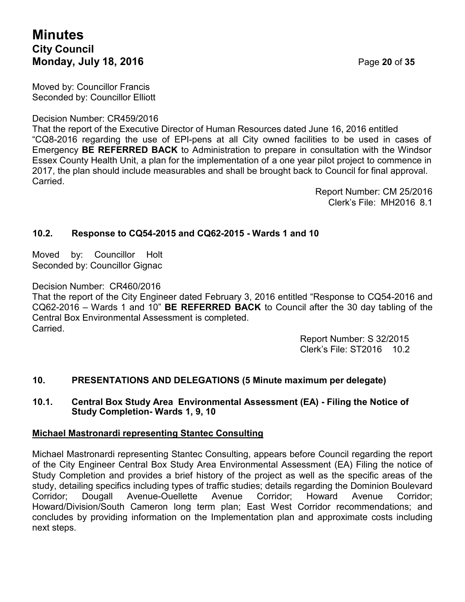# **Minutes City Council Monday, July 18, 2016 Page 20 of 35**

Moved by: Councillor Francis Seconded by: Councillor Elliott

Decision Number: CR459/2016

That the report of the Executive Director of Human Resources dated June 16, 2016 entitled "CQ8-2016 regarding the use of EPI-pens at all City owned facilities to be used in cases of Emergency **BE REFERRED BACK** to Administration to prepare in consultation with the Windsor Essex County Health Unit, a plan for the implementation of a one year pilot project to commence in 2017, the plan should include measurables and shall be brought back to Council for final approval. Carried.

> Report Number: CM 25/2016 Clerk's File: MH2016 8.1

## **10.2. Response to CQ54-2015 and CQ62-2015 - Wards 1 and 10**

Moved by: Councillor Holt Seconded by: Councillor Gignac

Decision Number: CR460/2016

That the report of the City Engineer dated February 3, 2016 entitled "Response to CQ54-2016 and CQ62-2016 – Wards 1 and 10" **BE REFERRED BACK** to Council after the 30 day tabling of the Central Box Environmental Assessment is completed. Carried.

> Report Number: S 32/2015 Clerk's File: ST2016 10.2

## **10. PRESENTATIONS AND DELEGATIONS (5 Minute maximum per delegate)**

#### **10.1. Central Box Study Area Environmental Assessment (EA) - Filing the Notice of Study Completion- Wards 1, 9, 10**

#### **Michael Mastronardi representing Stantec Consulting**

Michael Mastronardi representing Stantec Consulting, appears before Council regarding the report of the City Engineer Central Box Study Area Environmental Assessment (EA) Filing the notice of Study Completion and provides a brief history of the project as well as the specific areas of the study, detailing specifics including types of traffic studies; details regarding the Dominion Boulevard Corridor; Dougall Avenue-Ouellette Avenue Corridor; Howard Avenue Corridor; Howard/Division/South Cameron long term plan; East West Corridor recommendations; and concludes by providing information on the Implementation plan and approximate costs including next steps.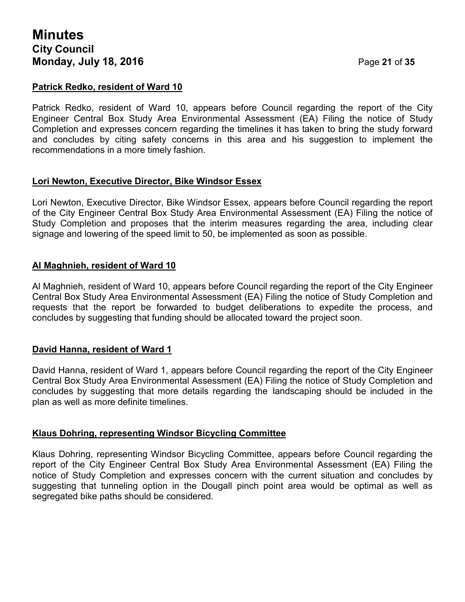#### **Patrick Redko, resident of Ward 10**

Patrick Redko, resident of Ward 10, appears before Council regarding the report of the City Engineer Central Box Study Area Environmental Assessment (EA) Filing the notice of Study Completion and expresses concern regarding the timelines it has taken to bring the study forward and concludes by citing safety concerns in this area and his suggestion to implement the recommendations in a more timely fashion.

#### **Lori Newton, Executive Director, Bike Windsor Essex**

Lori Newton, Executive Director, Bike Windsor Essex, appears before Council regarding the report of the City Engineer Central Box Study Area Environmental Assessment (EA) Filing the notice of Study Completion and proposes that the interim measures regarding the area, including clear signage and lowering of the speed limit to 50, be implemented as soon as possible.

## **Al Maghnieh, resident of Ward 10**

Al Maghnieh, resident of Ward 10, appears before Council regarding the report of the City Engineer Central Box Study Area Environmental Assessment (EA) Filing the notice of Study Completion and requests that the report be forwarded to budget deliberations to expedite the process, and concludes by suggesting that funding should be allocated toward the project soon.

#### **David Hanna, resident of Ward 1**

David Hanna, resident of Ward 1, appears before Council regarding the report of the City Engineer Central Box Study Area Environmental Assessment (EA) Filing the notice of Study Completion and concludes by suggesting that more details regarding the landscaping should be included in the plan as well as more definite timelines.

#### **Klaus Dohring, representing Windsor Bicycling Committee**

Klaus Dohring, representing Windsor Bicycling Committee, appears before Council regarding the report of the City Engineer Central Box Study Area Environmental Assessment (EA) Filing the notice of Study Completion and expresses concern with the current situation and concludes by suggesting that tunneling option in the Dougall pinch point area would be optimal as well as segregated bike paths should be considered.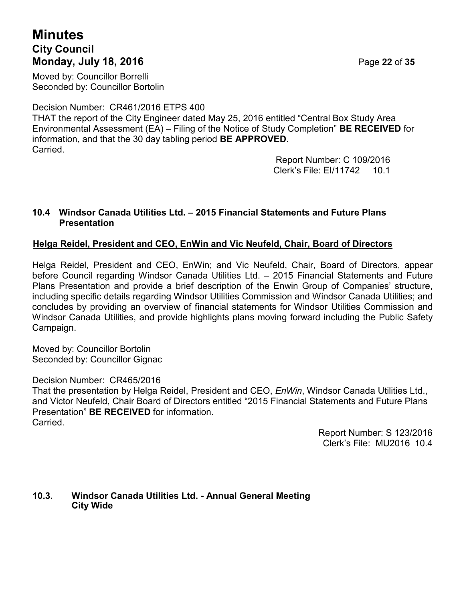# **Minutes City Council Monday, July 18, 2016** Page **22** of **35**

Moved by: Councillor Borrelli Seconded by: Councillor Bortolin

Decision Number: CR461/2016 ETPS 400

THAT the report of the City Engineer dated May 25, 2016 entitled "Central Box Study Area Environmental Assessment (EA) – Filing of the Notice of Study Completion" **BE RECEIVED** for information, and that the 30 day tabling period **BE APPROVED**. Carried.

Report Number: C 109/2016 Clerk's File: EI/11742 10.1

## **10.4 Windsor Canada Utilities Ltd. – 2015 Financial Statements and Future Plans Presentation**

## **Helga Reidel, President and CEO, EnWin and Vic Neufeld, Chair, Board of Directors**

Helga Reidel, President and CEO, EnWin; and Vic Neufeld, Chair, Board of Directors, appear before Council regarding Windsor Canada Utilities Ltd. – 2015 Financial Statements and Future Plans Presentation and provide a brief description of the Enwin Group of Companies' structure, including specific details regarding Windsor Utilities Commission and Windsor Canada Utilities; and concludes by providing an overview of financial statements for Windsor Utilities Commission and Windsor Canada Utilities, and provide highlights plans moving forward including the Public Safety Campaign.

Moved by: Councillor Bortolin Seconded by: Councillor Gignac

Decision Number: CR465/2016

That the presentation by Helga Reidel, President and CEO, *EnWin*, Windsor Canada Utilities Ltd., and Victor Neufeld, Chair Board of Directors entitled "2015 Financial Statements and Future Plans Presentation" **BE RECEIVED** for information. **Carried** 

> Report Number: S 123/2016 Clerk's File: MU2016 10.4

#### **10.3. Windsor Canada Utilities Ltd. - Annual General Meeting City Wide**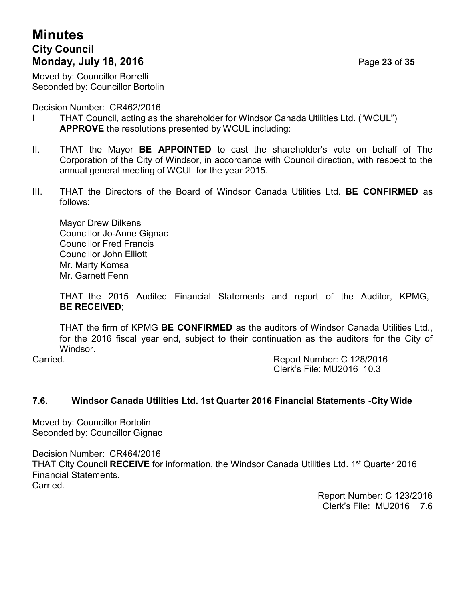# **Minutes City Council Monday, July 18, 2016 Page 23 of 35**

Moved by: Councillor Borrelli Seconded by: Councillor Bortolin

Decision Number: CR462/2016

- I THAT Council, acting as the shareholder for Windsor Canada Utilities Ltd. ("WCUL") **APPROVE** the resolutions presented by WCUL including:
- II. THAT the Mayor **BE APPOINTED** to cast the shareholder's vote on behalf of The Corporation of the City of Windsor, in accordance with Council direction, with respect to the annual general meeting of WCUL for the year 2015.
- III. THAT the Directors of the Board of Windsor Canada Utilities Ltd. **BE CONFIRMED** as follows:

Mayor Drew Dilkens Councillor Jo-Anne Gignac Councillor Fred Francis Councillor John Elliott Mr. Marty Komsa Mr. Garnett Fenn

THAT the 2015 Audited Financial Statements and report of the Auditor, KPMG, **BE RECEIVED**;

THAT the firm of KPMG **BE CONFIRMED** as the auditors of Windsor Canada Utilities Ltd., for the 2016 fiscal year end, subject to their continuation as the auditors for the City of Windsor.

Carried. Report Number: C 128/2016 Clerk's File: MU2016 10.3

# **7.6. Windsor Canada Utilities Ltd. 1st Quarter 2016 Financial Statements -City Wide**

Moved by: Councillor Bortolin Seconded by: Councillor Gignac

Decision Number: CR464/2016 THAT City Council **RECEIVE** for information, the Windsor Canada Utilities Ltd. 1<sup>st</sup> Quarter 2016 Financial Statements. Carried.

> Report Number: C 123/2016 Clerk's File: MU2016 7.6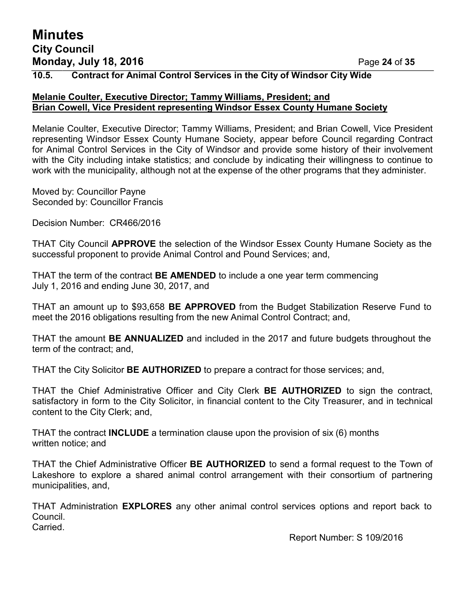# **Minutes City Council Monday, July 18, 2016 Page 24 of 35**

## **10.5. Contract for Animal Control Services in the City of Windsor City Wide**

#### **Melanie Coulter, Executive Director; Tammy Williams, President; and Brian Cowell, Vice President representing Windsor Essex County Humane Society**

Melanie Coulter, Executive Director; Tammy Williams, President; and Brian Cowell, Vice President representing Windsor Essex County Humane Society, appear before Council regarding Contract for Animal Control Services in the City of Windsor and provide some history of their involvement with the City including intake statistics; and conclude by indicating their willingness to continue to work with the municipality, although not at the expense of the other programs that they administer.

Moved by: Councillor Payne Seconded by: Councillor Francis

Decision Number: CR466/2016

THAT City Council **APPROVE** the selection of the Windsor Essex County Humane Society as the successful proponent to provide Animal Control and Pound Services; and,

THAT the term of the contract **BE AMENDED** to include a one year term commencing July 1, 2016 and ending June 30, 2017, and

THAT an amount up to \$93,658 **BE APPROVED** from the Budget Stabilization Reserve Fund to meet the 2016 obligations resulting from the new Animal Control Contract; and,

THAT the amount **BE ANNUALIZED** and included in the 2017 and future budgets throughout the term of the contract; and,

THAT the City Solicitor **BE AUTHORIZED** to prepare a contract for those services; and,

THAT the Chief Administrative Officer and City Clerk **BE AUTHORIZED** to sign the contract, satisfactory in form to the City Solicitor, in financial content to the City Treasurer, and in technical content to the City Clerk; and,

THAT the contract **INCLUDE** a termination clause upon the provision of six (6) months written notice; and

THAT the Chief Administrative Officer **BE AUTHORIZED** to send a formal request to the Town of Lakeshore to explore a shared animal control arrangement with their consortium of partnering municipalities, and,

THAT Administration **EXPLORES** any other animal control services options and report back to Council.

Carried.

Report Number: S 109/2016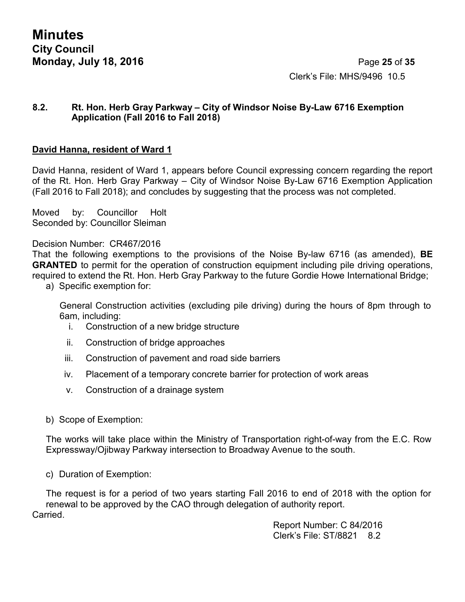**Minutes City Council Monday, July 18, 2016 Page 25 of 35** 

Clerk's File: MHS/9496 10.5

#### **8.2. Rt. Hon. Herb Gray Parkway – City of Windsor Noise By-Law 6716 Exemption Application (Fall 2016 to Fall 2018)**

### **David Hanna, resident of Ward 1**

David Hanna, resident of Ward 1, appears before Council expressing concern regarding the report of the Rt. Hon. Herb Gray Parkway – City of Windsor Noise By-Law 6716 Exemption Application (Fall 2016 to Fall 2018); and concludes by suggesting that the process was not completed.

Moved by: Councillor Holt Seconded by: Councillor Sleiman

Decision Number: CR467/2016

That the following exemptions to the provisions of the Noise By-law 6716 (as amended), **BE GRANTED** to permit for the operation of construction equipment including pile driving operations, required to extend the Rt. Hon. Herb Gray Parkway to the future Gordie Howe International Bridge;

a) Specific exemption for:

General Construction activities (excluding pile driving) during the hours of 8pm through to 6am, including:

- i. Construction of a new bridge structure
- ii. Construction of bridge approaches
- iii. Construction of pavement and road side barriers
- iv. Placement of a temporary concrete barrier for protection of work areas
- v. Construction of a drainage system
- b) Scope of Exemption:

The works will take place within the Ministry of Transportation right-of-way from the E.C. Row Expressway/Ojibway Parkway intersection to Broadway Avenue to the south.

c) Duration of Exemption:

The request is for a period of two years starting Fall 2016 to end of 2018 with the option for renewal to be approved by the CAO through delegation of authority report. Carried.

> Report Number: C 84/2016 Clerk's File: ST/8821 8.2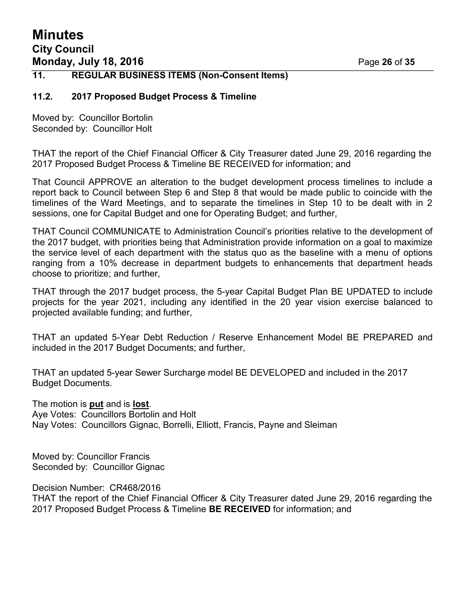# **Minutes City Council Monday, July 18, 2016 Page 26 of 35**

#### **11. REGULAR BUSINESS ITEMS (Non-Consent Items)**

#### **11.2. 2017 Proposed Budget Process & Timeline**

Moved by: Councillor Bortolin Seconded by: Councillor Holt

THAT the report of the Chief Financial Officer & City Treasurer dated June 29, 2016 regarding the 2017 Proposed Budget Process & Timeline BE RECEIVED for information; and

That Council APPROVE an alteration to the budget development process timelines to include a report back to Council between Step 6 and Step 8 that would be made public to coincide with the timelines of the Ward Meetings, and to separate the timelines in Step 10 to be dealt with in 2 sessions, one for Capital Budget and one for Operating Budget; and further,

THAT Council COMMUNICATE to Administration Council's priorities relative to the development of the 2017 budget, with priorities being that Administration provide information on a goal to maximize the service level of each department with the status quo as the baseline with a menu of options ranging from a 10% decrease in department budgets to enhancements that department heads choose to prioritize; and further,

THAT through the 2017 budget process, the 5-year Capital Budget Plan BE UPDATED to include projects for the year 2021, including any identified in the 20 year vision exercise balanced to projected available funding; and further,

THAT an updated 5-Year Debt Reduction / Reserve Enhancement Model BE PREPARED and included in the 2017 Budget Documents; and further,

THAT an updated 5-year Sewer Surcharge model BE DEVELOPED and included in the 2017 Budget Documents.

The motion is **put** and is **lost**. Aye Votes: Councillors Bortolin and Holt Nay Votes: Councillors Gignac, Borrelli, Elliott, Francis, Payne and Sleiman

Moved by: Councillor Francis Seconded by: Councillor Gignac

Decision Number: CR468/2016

THAT the report of the Chief Financial Officer & City Treasurer dated June 29, 2016 regarding the 2017 Proposed Budget Process & Timeline **BE RECEIVED** for information; and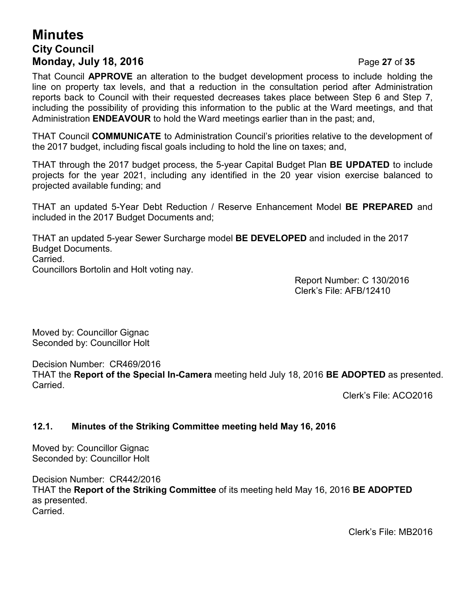# **Minutes City Council Monday, July 18, 2016 Page 27 of 35**

That Council **APPROVE** an alteration to the budget development process to include holding the line on property tax levels, and that a reduction in the consultation period after Administration reports back to Council with their requested decreases takes place between Step 6 and Step 7, including the possibility of providing this information to the public at the Ward meetings, and that Administration **ENDEAVOUR** to hold the Ward meetings earlier than in the past; and,

THAT Council **COMMUNICATE** to Administration Council's priorities relative to the development of the 2017 budget, including fiscal goals including to hold the line on taxes; and,

THAT through the 2017 budget process, the 5-year Capital Budget Plan **BE UPDATED** to include projects for the year 2021, including any identified in the 20 year vision exercise balanced to projected available funding; and

THAT an updated 5-Year Debt Reduction / Reserve Enhancement Model **BE PREPARED** and included in the 2017 Budget Documents and;

THAT an updated 5-year Sewer Surcharge model **BE DEVELOPED** and included in the 2017 Budget Documents. Carried. Councillors Bortolin and Holt voting nay.

> Report Number: C 130/2016 Clerk's File: AFB/12410

Moved by: Councillor Gignac Seconded by: Councillor Holt

Decision Number: CR469/2016 THAT the **Report of the Special In-Camera** meeting held July 18, 2016 **BE ADOPTED** as presented. Carried.

Clerk's File: ACO2016

## **12.1. Minutes of the Striking Committee meeting held May 16, 2016**

Moved by: Councillor Gignac Seconded by: Councillor Holt

Decision Number: CR442/2016 THAT the **Report of the Striking Committee** of its meeting held May 16, 2016 **BE ADOPTED** as presented. Carried.

Clerk's File: MB2016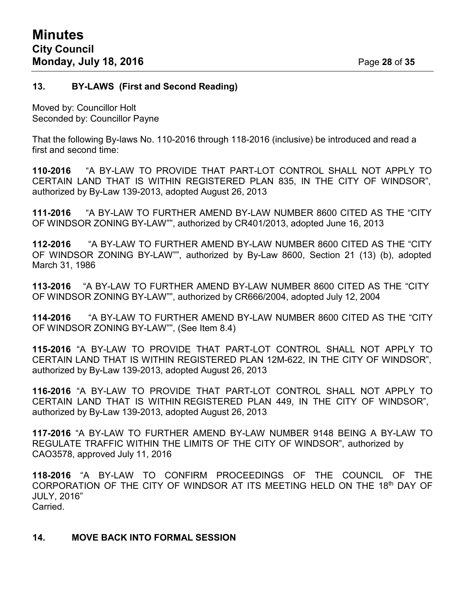#### **13. BY-LAWS (First and Second Reading)**

Moved by: Councillor Holt Seconded by: Councillor Payne

That the following By-laws No. 110-2016 through 118-2016 (inclusive) be introduced and read a first and second time:

**110-2016** "A BY-LAW TO PROVIDE THAT PART-LOT CONTROL SHALL NOT APPLY TO CERTAIN LAND THAT IS WITHIN REGISTERED PLAN 835, IN THE CITY OF WINDSOR", authorized by By-Law 139-2013, adopted August 26, 2013

**111-2016** "A BY-LAW TO FURTHER AMEND BY-LAW NUMBER 8600 CITED AS THE "CITY OF WINDSOR ZONING BY-LAW"", authorized by CR401/2013, adopted June 16, 2013

**112-2016** "A BY-LAW TO FURTHER AMEND BY-LAW NUMBER 8600 CITED AS THE "CITY OF WINDSOR ZONING BY-LAW"", authorized by By-Law 8600, Section 21 (13) (b), adopted March 31, 1986

**113-2016** "A BY-LAW TO FURTHER AMEND BY-LAW NUMBER 8600 CITED AS THE "CITY OF WINDSOR ZONING BY-LAW"", authorized by CR666/2004, adopted July 12, 2004

**114-2016** "A BY-LAW TO FURTHER AMEND BY-LAW NUMBER 8600 CITED AS THE "CITY OF WINDSOR ZONING BY-LAW"", (See Item 8.4)

**115-2016** "A BY-LAW TO PROVIDE THAT PART-LOT CONTROL SHALL NOT APPLY TO CERTAIN LAND THAT IS WITHIN REGISTERED PLAN 12M-622, IN THE CITY OF WINDSOR", authorized by By-Law 139-2013, adopted August 26, 2013

**116-2016** "A BY-LAW TO PROVIDE THAT PART-LOT CONTROL SHALL NOT APPLY TO CERTAIN LAND THAT IS WITHIN REGISTERED PLAN 449, IN THE CITY OF WINDSOR", authorized by By-Law 139-2013, adopted August 26, 2013

**117-2016** "A BY-LAW TO FURTHER AMEND BY-LAW NUMBER 9148 BEING A BY-LAW TO REGULATE TRAFFIC WITHIN THE LIMITS OF THE CITY OF WINDSOR", authorized by CAO3578, approved July 11, 2016

**118-2016** "A BY-LAW TO CONFIRM PROCEEDINGS OF THE COUNCIL OF THE CORPORATION OF THE CITY OF WINDSOR AT ITS MEETING HELD ON THE 18th DAY OF JULY, 2016" Carried.

#### **14. MOVE BACK INTO FORMAL SESSION**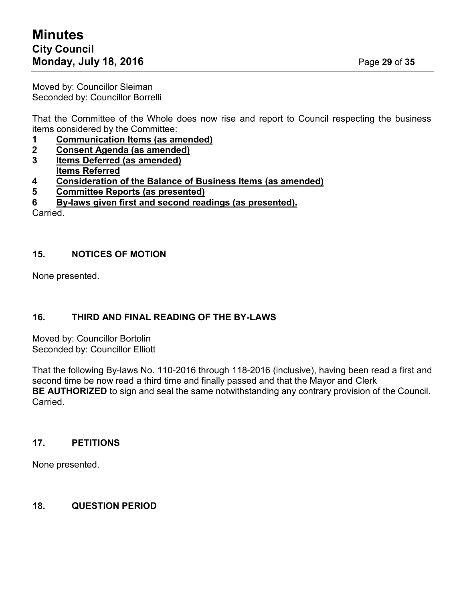# **Minutes City Council Monday, July 18, 2016 Page 29 of 35**

Moved by: Councillor Sleiman Seconded by: Councillor Borrelli

That the Committee of the Whole does now rise and report to Council respecting the business items considered by the Committee:

- **1 Communication Items (as amended)**
- **2 Consent Agenda (as amended)**
- **3 Items Deferred (as amended)**
- **Items Referred**
- **4 Consideration of the Balance of Business Items (as amended)**
- **5 Committee Reports (as presented)**
- **6 By-laws given first and second readings (as presented).**

Carried.

## **15. NOTICES OF MOTION**

None presented.

# **16. THIRD AND FINAL READING OF THE BY-LAWS**

Moved by: Councillor Bortolin Seconded by: Councillor Elliott

That the following By-laws No. 110-2016 through 118-2016 (inclusive), having been read a first and second time be now read a third time and finally passed and that the Mayor and Clerk **BE AUTHORIZED** to sign and seal the same notwithstanding any contrary provision of the Council. Carried.

# **17. PETITIONS**

None presented.

## **18. QUESTION PERIOD**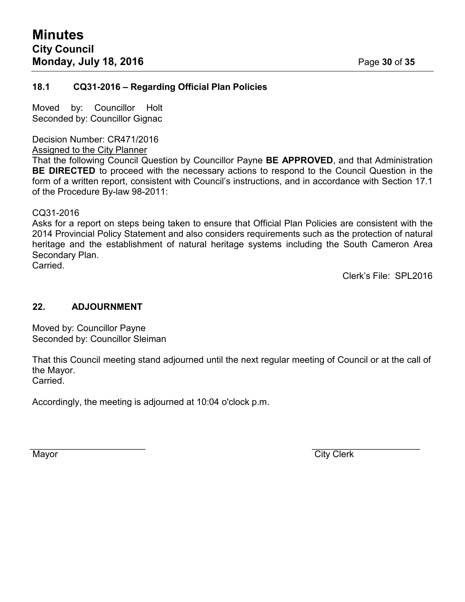#### **18.1 CQ31-2016 – Regarding Official Plan Policies**

Moved by: Councillor Holt Seconded by: Councillor Gignac

Decision Number: CR471/2016

Assigned to the City Planner

That the following Council Question by Councillor Payne **BE APPROVED**, and that Administration **BE DIRECTED** to proceed with the necessary actions to respond to the Council Question in the form of a written report, consistent with Council's instructions, and in accordance with Section 17.1 of the Procedure By-law 98-2011:

CQ31-2016

Asks for a report on steps being taken to ensure that Official Plan Policies are consistent with the 2014 Provincial Policy Statement and also considers requirements such as the protection of natural heritage and the establishment of natural heritage systems including the South Cameron Area Secondary Plan. Carried.

Clerk's File: SPL2016

#### **22. ADJOURNMENT**

Moved by: Councillor Payne Seconded by: Councillor Sleiman

That this Council meeting stand adjourned until the next regular meeting of Council or at the call of the Mayor. Carried.

Accordingly, the meeting is adjourned at 10:04 o'clock p.m.

Mayor **City Clerk**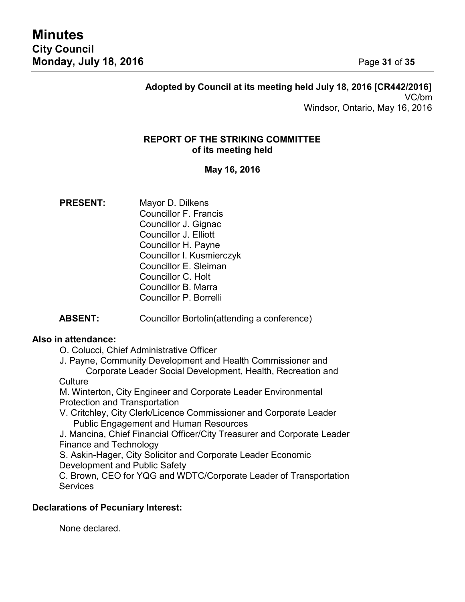## **Adopted by Council at its meeting held July 18, 2016 [CR442/2016]** VC/bm Windsor, Ontario, May 16, 2016

## **REPORT OF THE STRIKING COMMITTEE of its meeting held**

## **May 16, 2016**

- **PRESENT:** Mayor D. Dilkens Councillor F. Francis Councillor J. Gignac Councillor J. Elliott Councillor H. Payne Councillor I. Kusmierczyk Councillor E. Sleiman Councillor C. Holt Councillor B. Marra Councillor P. Borrelli
- **ABSENT:** Councillor Bortolin(attending a conference)

#### **Also in attendance:**

O. Colucci, Chief Administrative Officer

J. Payne, Community Development and Health Commissioner and Corporate Leader Social Development, Health, Recreation and

#### **Culture**

M. Winterton, City Engineer and Corporate Leader Environmental Protection and Transportation

V. Critchley, City Clerk/Licence Commissioner and Corporate Leader Public Engagement and Human Resources

J. Mancina, Chief Financial Officer/City Treasurer and Corporate Leader Finance and Technology

S. Askin-Hager, City Solicitor and Corporate Leader Economic Development and Public Safety

C. Brown, CEO for YQG and WDTC/Corporate Leader of Transportation **Services** 

## **Declarations of Pecuniary Interest:**

None declared.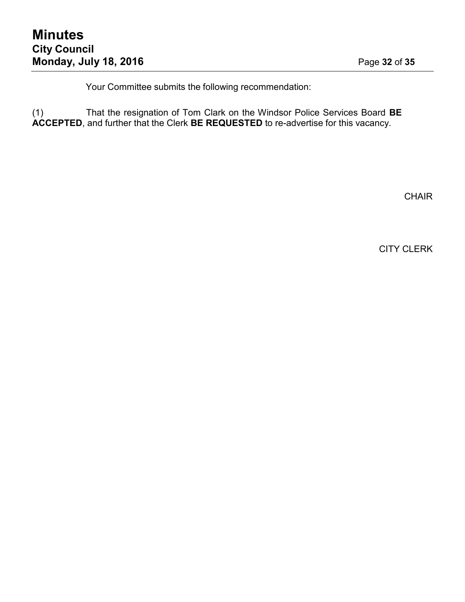Your Committee submits the following recommendation:

(1) That the resignation of Tom Clark on the Windsor Police Services Board **BE ACCEPTED**, and further that the Clerk **BE REQUESTED** to re-advertise for this vacancy.

**CHAIR** 

CITY CLERK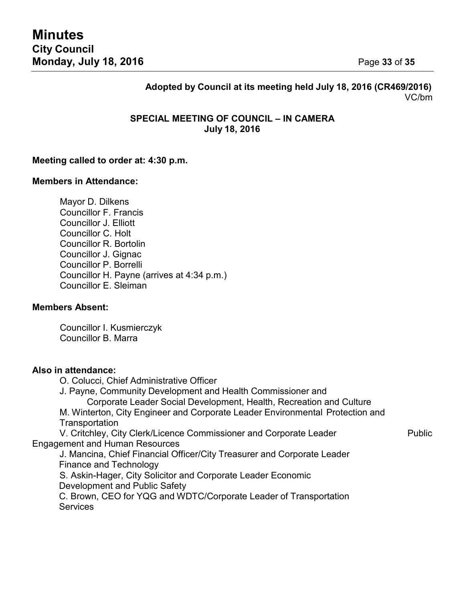# **Adopted by Council at its meeting held July 18, 2016 (CR469/2016)** VC/bm

#### **SPECIAL MEETING OF COUNCIL – IN CAMERA July 18, 2016**

#### **Meeting called to order at: 4:30 p.m.**

#### **Members in Attendance:**

Mayor D. Dilkens Councillor F. Francis Councillor J. Elliott Councillor C. Holt Councillor R. Bortolin Councillor J. Gignac Councillor P. Borrelli Councillor H. Payne (arrives at 4:34 p.m.) Councillor E. Sleiman

#### **Members Absent:**

Councillor I. Kusmierczyk Councillor B. Marra

#### **Also in attendance:**

O. Colucci, Chief Administrative Officer J. Payne, Community Development and Health Commissioner and Corporate Leader Social Development, Health, Recreation and Culture M. Winterton, City Engineer and Corporate Leader Environmental Protection and **Transportation** V. Critchley, City Clerk/Licence Commissioner and Corporate Leader Public Engagement and Human Resources J. Mancina, Chief Financial Officer/City Treasurer and Corporate Leader Finance and Technology

S. Askin-Hager, City Solicitor and Corporate Leader Economic Development and Public Safety C. Brown, CEO for YQG and WDTC/Corporate Leader of Transportation

**Services**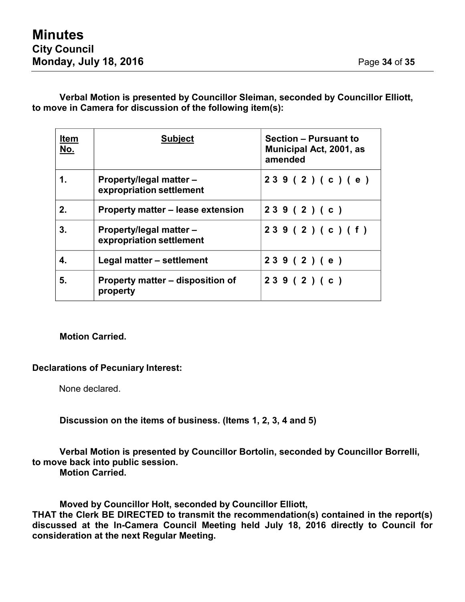## **Verbal Motion is presented by Councillor Sleiman, seconded by Councillor Elliott, to move in Camera for discussion of the following item(s):**

| <b>Item</b><br><u>No.</u> | <b>Subject</b>                                             | <b>Section - Pursuant to</b><br>Municipal Act, 2001, as<br>amended |
|---------------------------|------------------------------------------------------------|--------------------------------------------------------------------|
| 1.                        | <b>Property/legal matter –</b><br>expropriation settlement | 239(2)(c)(e)                                                       |
| 2.                        | Property matter – lease extension                          | 239(2)(c)                                                          |
| 3.                        | <b>Property/legal matter –</b><br>expropriation settlement | 239(2)(c)(f)                                                       |
| 4.                        | Legal matter - settlement                                  | 239(2)(e)                                                          |
| 5.                        | Property matter – disposition of<br>property               | 239 (2) (c)                                                        |

#### **Motion Carried.**

#### **Declarations of Pecuniary Interest:**

None declared.

#### **Discussion on the items of business. (Items 1, 2, 3, 4 and 5)**

#### **Verbal Motion is presented by Councillor Bortolin, seconded by Councillor Borrelli, to move back into public session. Motion Carried.**

**Moved by Councillor Holt, seconded by Councillor Elliott,**

**THAT the Clerk BE DIRECTED to transmit the recommendation(s) contained in the report(s) discussed at the In-Camera Council Meeting held July 18, 2016 directly to Council for consideration at the next Regular Meeting.**